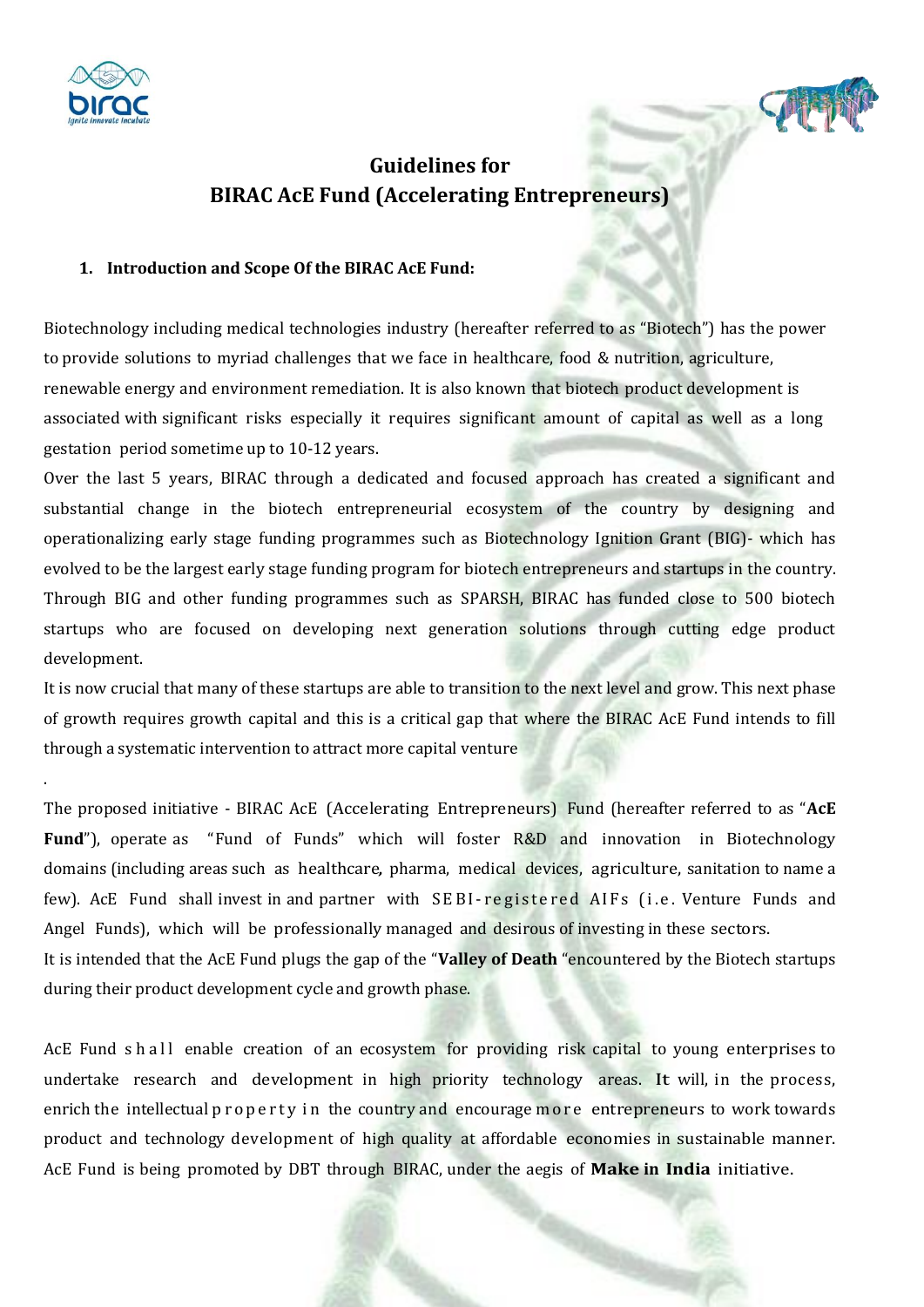

.



#### **1. Introduction and Scope Of the BIRAC AcE Fund:**

Biotechnology including medical technologies industry (hereafter referred to as "Biotech") has the power to provide solutions to myriad challenges that we face in healthcare, food & nutrition, agriculture, renewable energy and environment remediation. It is also known that biotech product development is associated with significant risks especially it requires significant amount of capital as well as a long gestation period sometime up to 10-12 years.

Over the last 5 years, BIRAC through a dedicated and focused approach has created a significant and substantial change in the biotech entrepreneurial ecosystem of the country by designing and operationalizing early stage funding programmes such as Biotechnology Ignition Grant (BIG)- which has evolved to be the largest early stage funding program for biotech entrepreneurs and startups in the country. Through BIG and other funding programmes such as SPARSH, BIRAC has funded close to 500 biotech startups who are focused on developing next generation solutions through cutting edge product development.

It is now crucial that many of these startups are able to transition to the next level and grow. This next phase of growth requires growth capital and this is a critical gap that where the BIRAC AcE Fund intends to fill through a systematic intervention to attract more capital venture

The proposed initiative - BIRAC AcE (Accelerating Entrepreneurs) Fund (hereafter referred to as "**AcE**  Fund"), operate as "Fund of Funds" which will foster R&D and innovation in Biotechnology domains (including areas such as healthcare, pharma, medical devices, agriculture, sanitation to name a few). AcE Fund shall invest in and partner with SEBI-registered AIFs (i.e. Venture Funds and Angel Funds), which will be professionally managed and desirous of investing in these sectors. It is intended that the AcE Fund plugs the gap of the "**Valley of Death** "encountered by the Biotech startups

during their product development cycle and growth phase.

AcE Fund s h all enable creation of an ecosystem for providing risk capital to young enterprises to undertake research and development in high priority technology areas. It will, in the process, enrich the intellectual p r o p e r t y in the country and encourage m o r e entrepreneurs to work towards product and technology development of high quality at affordable economies in sustainable manner. AcE Fund is being promoted by DBT through BIRAC, under the aegis of **Make in India** initiative.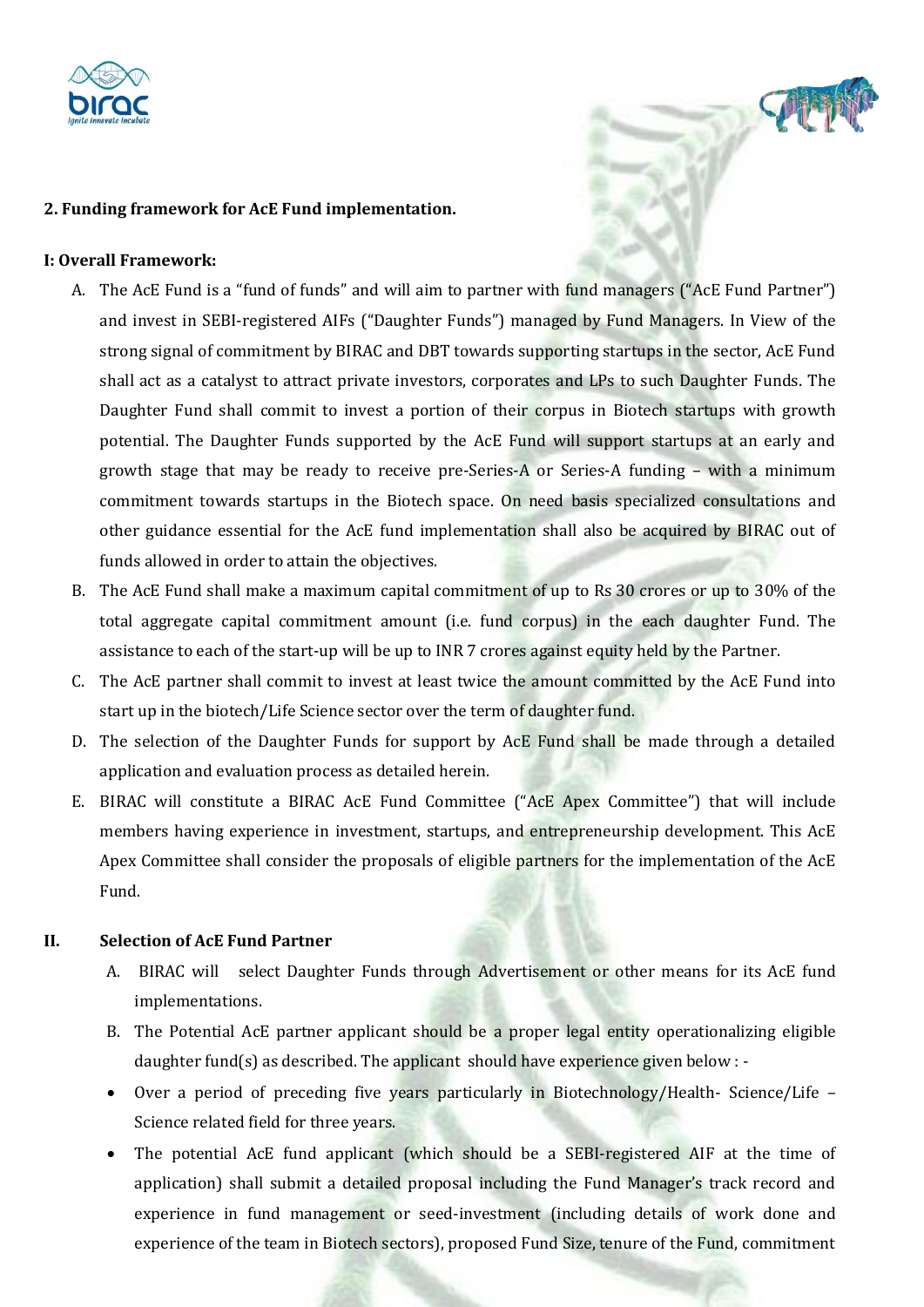

### **2. Funding framework for AcE Fund implementation.**

#### **I: Overall Framework:**

- A. The AcE Fund is a "fund of funds" and will aim to partner with fund managers ("AcE Fund Partner") and invest in SEBI-registered AIFs ("Daughter Funds") managed by Fund Managers. In View of the strong signal of commitment by BIRAC and DBT towards supporting startups in the sector, AcE Fund shall act as a catalyst to attract private investors, corporates and LPs to such Daughter Funds. The Daughter Fund shall commit to invest a portion of their corpus in Biotech startups with growth potential. The Daughter Funds supported by the AcE Fund will support startups at an early and growth stage that may be ready to receive pre-Series-A or Series-A funding – with a minimum commitment towards startups in the Biotech space. On need basis specialized consultations and other guidance essential for the AcE fund implementation shall also be acquired by BIRAC out of funds allowed in order to attain the objectives.
- B. The AcE Fund shall make a maximum capital commitment of up to Rs 30 crores or up to 30% of the total aggregate capital commitment amount (i.e. fund corpus) in the each daughter Fund. The assistance to each of the start-up will be up to INR 7 crores against equity held by the Partner.
- C. The AcE partner shall commit to invest at least twice the amount committed by the AcE Fund into start up in the biotech/Life Science sector over the term of daughter fund.
- D. The selection of the Daughter Funds for support by AcE Fund shall be made through a detailed application and evaluation process as detailed herein.
- E. BIRAC will constitute a BIRAC AcE Fund Committee ("AcE Apex Committee") that will include members having experience in investment, startups, and entrepreneurship development. This AcE Apex Committee shall consider the proposals of eligible partners for the implementation of the AcE Fund.

#### **II. Selection of AcE Fund Partner**

- A. BIRAC will select Daughter Funds through Advertisement or other means for its AcE fund implementations.
- B. The Potential AcE partner applicant should be a proper legal entity operationalizing eligible daughter fund(s) as described. The applicant should have experience given below  $\cdot$  -
- Over a period of preceding five years particularly in Biotechnology/Health- Science/Life Science related field for three years.
- The potential AcE fund applicant (which should be a SEBI-registered AIF at the time of application) shall submit a detailed proposal including the Fund Manager's track record and experience in fund management or seed-investment (including details of work done and experience of the team in Biotech sectors), proposed Fund Size, tenure of the Fund, commitment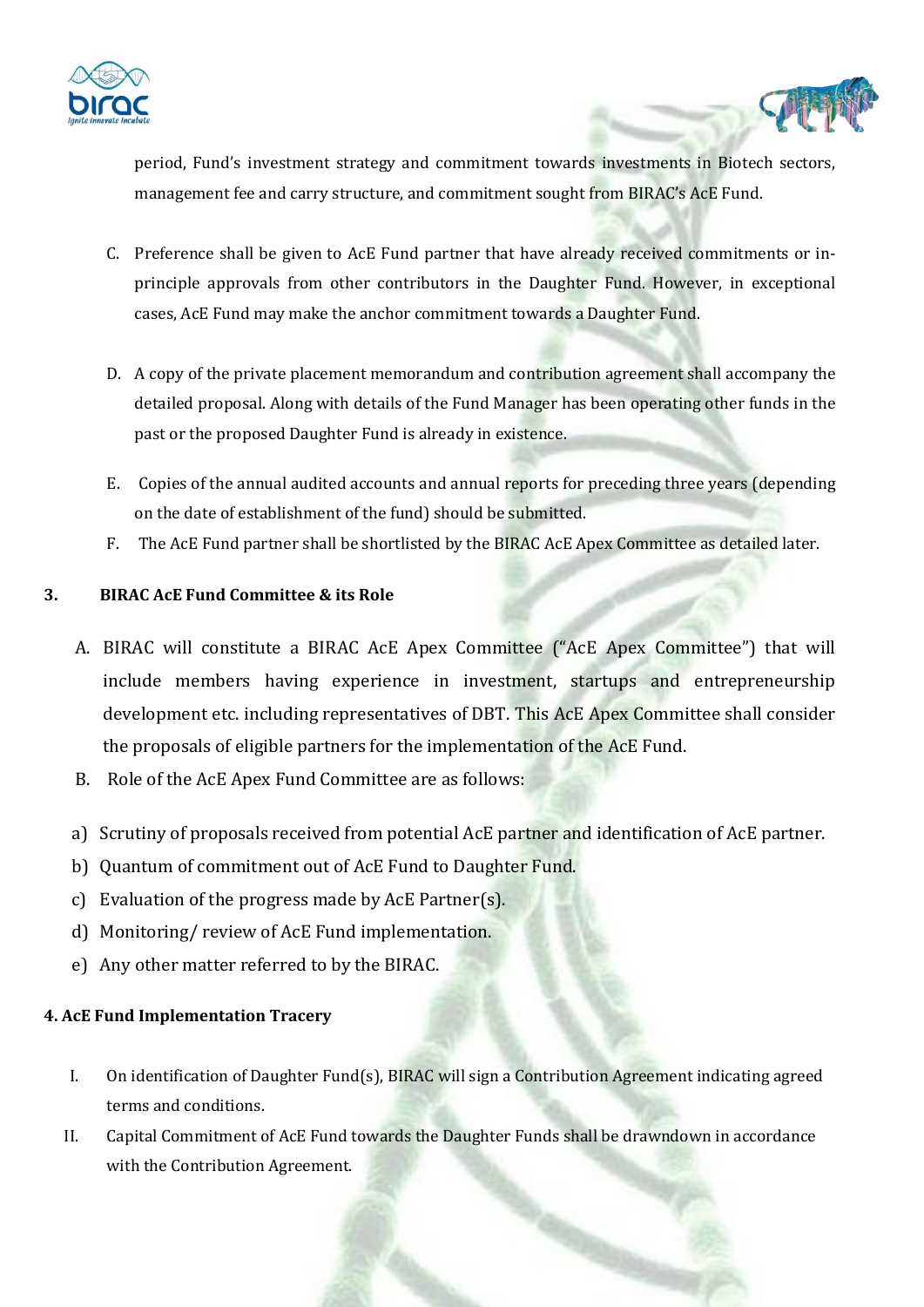

period, Fund's investment strategy and commitment towards investments in Biotech sectors, management fee and carry structure, and commitment sought from BIRAC's AcE Fund.

- C. Preference shall be given to AcE Fund partner that have already received commitments or inprinciple approvals from other contributors in the Daughter Fund. However, in exceptional cases, AcE Fund may make the anchor commitment towards a Daughter Fund.
- D. A copy of the private placement memorandum and contribution agreement shall accompany the detailed proposal. Along with details of the Fund Manager has been operating other funds in the past or the proposed Daughter Fund is already in existence.
- E. Copies of the annual audited accounts and annual reports for preceding three years (depending on the date of establishment of the fund) should be submitted.
- F. The AcE Fund partner shall be shortlisted by the BIRAC AcE Apex Committee as detailed later.

# **3. BIRAC AcE Fund Committee & its Role**

- A. BIRAC will constitute a BIRAC AcE Apex Committee ("AcE Apex Committee") that will include members having experience in investment, startups and entrepreneurship development etc. including representatives of DBT. This AcE Apex Committee shall consider the proposals of eligible partners for the implementation of the AcE Fund.
- B. Role of the AcE Apex Fund Committee are as follows:
- a) Scrutiny of proposals received from potential AcE partner and identification of AcE partner.
- b) Quantum of commitment out of AcE Fund to Daughter Fund.
- c) Evaluation of the progress made by AcE Partner(s).
- d) Monitoring/ review of AcE Fund implementation.
- e) Any other matter referred to by the BIRAC.

# **4. AcE Fund Implementation Tracery**

- I. On identification of Daughter Fund(s), BIRAC will sign a Contribution Agreement indicating agreed terms and conditions.
- II. Capital Commitment of AcE Fund towards the Daughter Funds shall be drawndown in accordance with the Contribution Agreement.

v.